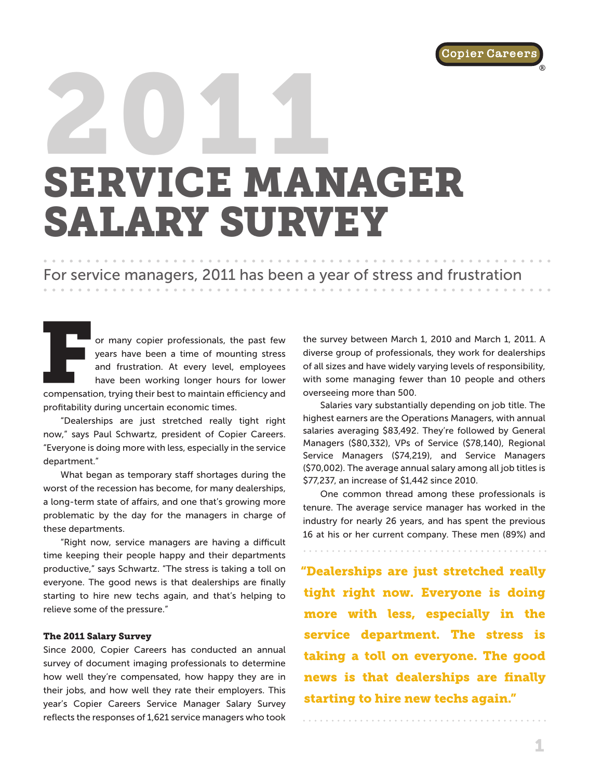®

# 2011 SERVICE MANAGER SALARY SURVEY

## For service managers, 2011 has been a year of stress and frustration

or many copier professionals, the past few years have been a time of mounting stress and frustration. At every level, employees have been working longer hours for lower compensation, trying their best to maintain efficiency and profitability during uncertain economic times.

"Dealerships are just stretched really tight right now," says Paul Schwartz, president of Copier Careers. "Everyone is doing more with less, especially in the service department."

What began as temporary staff shortages during the worst of the recession has become, for many dealerships, a long-term state of affairs, and one that's growing more problematic by the day for the managers in charge of these departments.

"Right now, service managers are having a difficult time keeping their people happy and their departments productive," says Schwartz. "The stress is taking a toll on everyone. The good news is that dealerships are finally starting to hire new techs again, and that's helping to relieve some of the pressure."

#### The 2011 Salary Survey

Since 2000, Copier Careers has conducted an annual survey of document imaging professionals to determine how well they're compensated, how happy they are in their jobs, and how well they rate their employers. This year's Copier Careers Service Manager Salary Survey reflects the responses of 1,621 service managers who took

the survey between March 1, 2010 and March 1, 2011. A diverse group of professionals, they work for dealerships of all sizes and have widely varying levels of responsibility, with some managing fewer than 10 people and others overseeing more than 500.

Salaries vary substantially depending on job title. The highest earners are the Operations Managers, with annual salaries averaging \$83,492. They're followed by General Managers (\$80,332), VPs of Service (\$78,140), Regional Service Managers (\$74,219), and Service Managers (\$70,002). The average annual salary among all job titles is \$77,237, an increase of \$1,442 since 2010.

One common thread among these professionals is tenure. The average service manager has worked in the industry for nearly 26 years, and has spent the previous 16 at his or her current company. These men (89%) and

"Dealerships are just stretched really tight right now. Everyone is doing more with less, especially in the service department. The stress is taking a toll on everyone. The good news is that dealerships are finally starting to hire new techs again."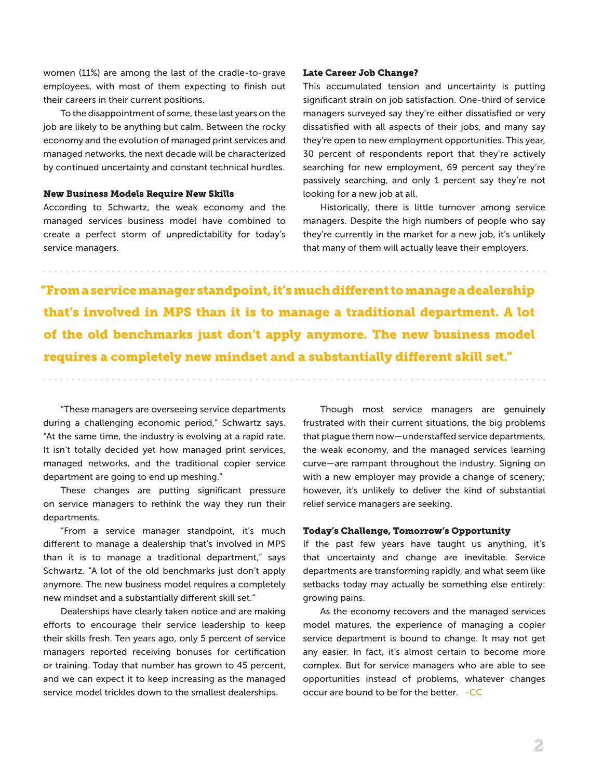women (11%) are among the last of the cradle-to-grave employees, with most of them expecting to finish out their careers in their current positions.

To the disappointment of some, these last years on the job are likely to be anything but calm. Between the rocky economy and the evolution of managed print services and managed networks, the next decade will be characterized by continued uncertainty and constant technical hurdles.

#### New Business Models Require New Skills

According to Schwartz, the weak economy and the managed services business model have combined to create a perfect storm of unpredictability for today's service managers.

#### Late Career Job Change?

This accumulated tension and uncertainty is putting significant strain on job satisfaction. One-third of service managers surveyed say they're either dissatisfied or very dissatisfied with all aspects of their jobs, and many say they're open to new employment opportunities. This year, 30 percent of respondents report that they're actively searching for new employment, 69 percent say they're passively searching, and only 1 percent say they're not looking for a new job at all.

Historically, there is little turnover among service managers. Despite the high numbers of people who say they're currently in the market for a new job, it's unlikely that many of them will actually leave their employers.

"From a service manager standpoint, it's much different to manage a dealership that's involved in MPS than it is to manage a traditional department. A lot of the old benchmarks just don't apply anymore. The new business model requires a completely new mindset and a substantially different skill set."

"These managers are overseeing service departments during a challenging economic period," Schwartz says. "At the same time, the industry is evolving at a rapid rate. It isn't totally decided yet how managed print services, managed networks, and the traditional copier service department are going to end up meshing."

These changes are putting significant pressure on service managers to rethink the way they run their departments.

"From a service manager standpoint, it's much different to manage a dealership that's involved in MPS than it is to manage a traditional department," says Schwartz. "A lot of the old benchmarks just don't apply anymore. The new business model requires a completely new mindset and a substantially different skill set."

Dealerships have clearly taken notice and are making efforts to encourage their service leadership to keep their skills fresh. Ten years ago, only 5 percent of service managers reported receiving bonuses for certification or training. Today that number has grown to 45 percent, and we can expect it to keep increasing as the managed service model trickles down to the smallest dealerships.

Though most service managers are genuinely frustrated with their current situations, the big problems that plague them now—understaffed service departments, the weak economy, and the managed services learning curve—are rampant throughout the industry. Signing on with a new employer may provide a change of scenery; however, it's unlikely to deliver the kind of substantial relief service managers are seeking.

#### Today's Challenge, Tomorrow's Opportunity

If the past few years have taught us anything, it's that uncertainty and change are inevitable. Service departments are transforming rapidly, and what seem like setbacks today may actually be something else entirely: growing pains.

As the economy recovers and the managed services model matures, the experience of managing a copier service department is bound to change. It may not get any easier. In fact, it's almost certain to become more complex. But for service managers who are able to see opportunities instead of problems, whatever changes occur are bound to be for the better. -CC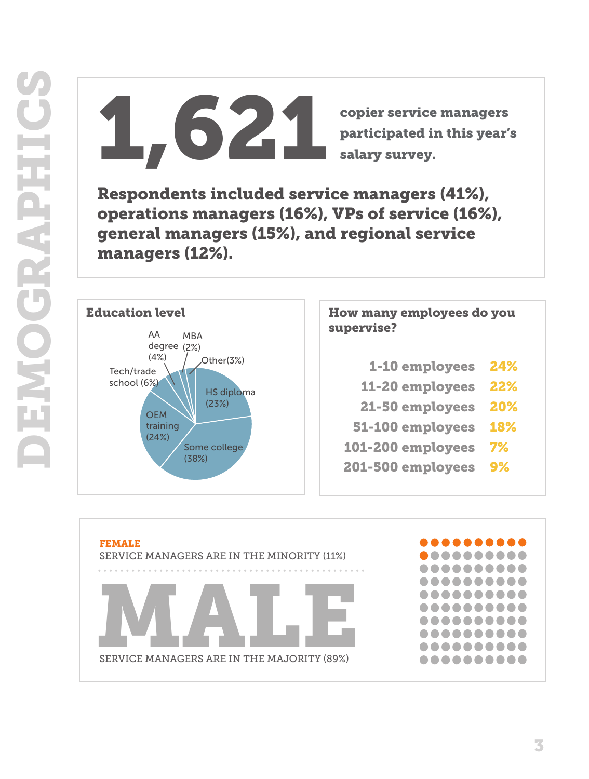copier service managers<br>participated in this year's<br>calary survey. participated in this year's salary survey.

Respondents included service managers (41%), operations managers (16%), VPs of service (16%), general managers (15%), and regional service managers (12%).



# How many employees do you supervise?

- 24%
- 11-20 employees 22%
- 21-50 employees 20%
- 51-100 employees 18%
- 101-200 employees 7%
- 201-500 employees 9%

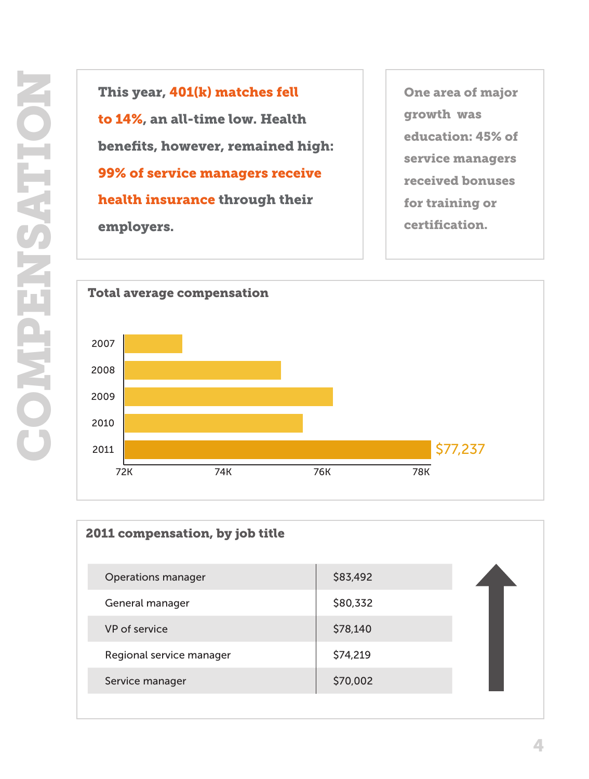This year, 401(k) matches fell to 14%, an all-time low. Health benefits, however, remained high: 99% of service managers receive health insurance through their employers.

One area of major growth was education: 45% of service managers received bonuses for training or certification.



| 2011 compensation, by job title |          |  |
|---------------------------------|----------|--|
| <b>Operations manager</b>       | \$83,492 |  |
| General manager                 | \$80,332 |  |
| VP of service                   | \$78,140 |  |
| Regional service manager        | \$74,219 |  |
| Service manager                 | \$70,002 |  |
|                                 |          |  |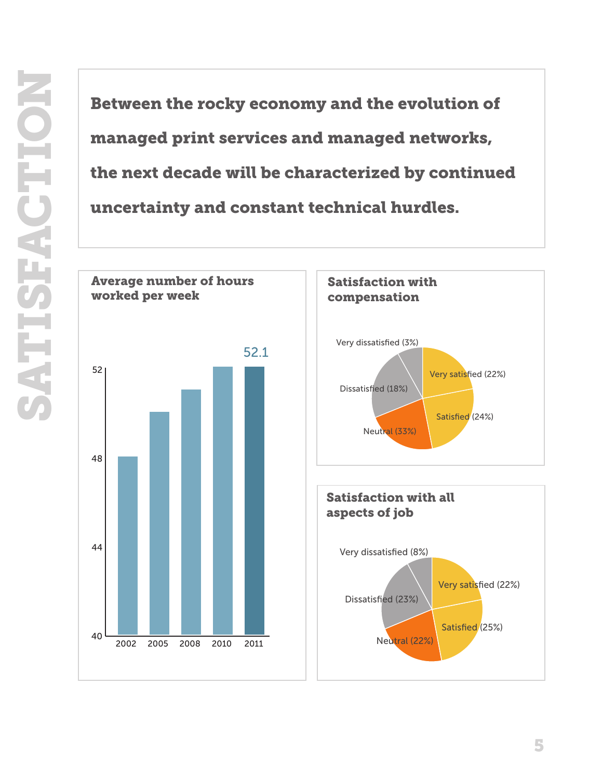managed print services and managed networks, the next decade will be characterized by continued uncertainty and constant technical hurdles.